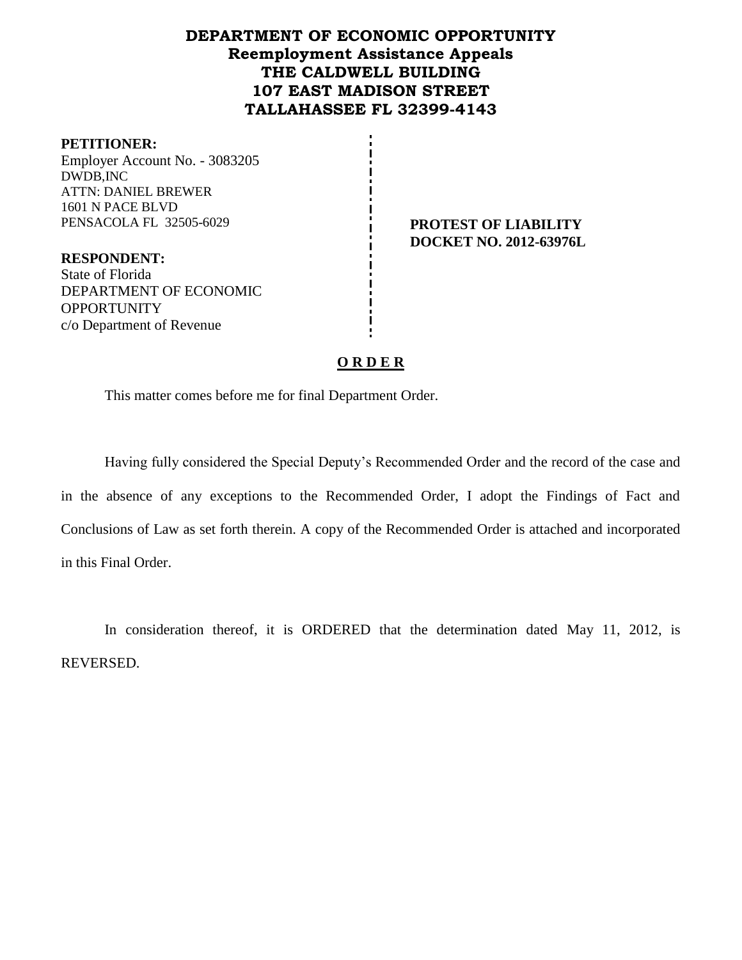# **DEPARTMENT OF ECONOMIC OPPORTUNITY Reemployment Assistance Appeals THE CALDWELL BUILDING 107 EAST MADISON STREET TALLAHASSEE FL 32399-4143**

#### **PETITIONER:**

Employer Account No. - 3083205 DWDB,INC ATTN: DANIEL BREWER 1601 N PACE BLVD PENSACOLA FL 32505-6029 **PROTEST OF LIABILITY** 

**DOCKET NO. 2012-63976L**

**RESPONDENT:** State of Florida DEPARTMENT OF ECONOMIC **OPPORTUNITY** c/o Department of Revenue

## **O R D E R**

This matter comes before me for final Department Order.

Having fully considered the Special Deputy's Recommended Order and the record of the case and in the absence of any exceptions to the Recommended Order, I adopt the Findings of Fact and Conclusions of Law as set forth therein. A copy of the Recommended Order is attached and incorporated in this Final Order.

In consideration thereof, it is ORDERED that the determination dated May 11, 2012, is REVERSED.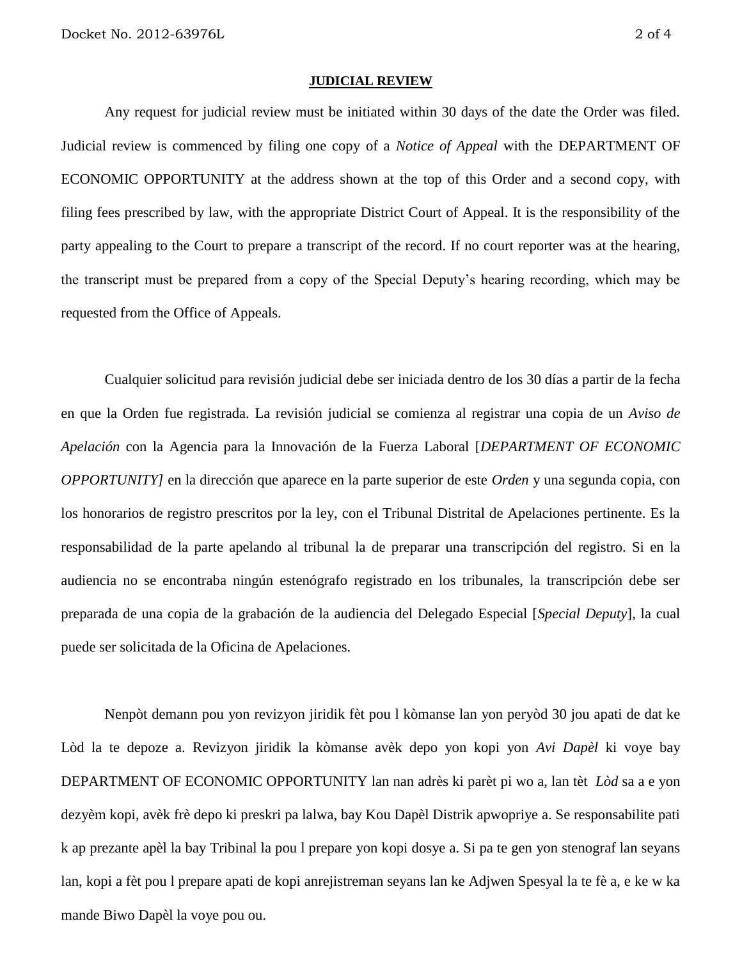#### **JUDICIAL REVIEW**

Any request for judicial review must be initiated within 30 days of the date the Order was filed. Judicial review is commenced by filing one copy of a *Notice of Appeal* with the DEPARTMENT OF ECONOMIC OPPORTUNITY at the address shown at the top of this Order and a second copy, with filing fees prescribed by law, with the appropriate District Court of Appeal. It is the responsibility of the party appealing to the Court to prepare a transcript of the record. If no court reporter was at the hearing, the transcript must be prepared from a copy of the Special Deputy's hearing recording, which may be requested from the Office of Appeals.

Cualquier solicitud para revisión judicial debe ser iniciada dentro de los 30 días a partir de la fecha en que la Orden fue registrada. La revisión judicial se comienza al registrar una copia de un *Aviso de Apelación* con la Agencia para la Innovación de la Fuerza Laboral [*DEPARTMENT OF ECONOMIC OPPORTUNITY]* en la dirección que aparece en la parte superior de este *Orden* y una segunda copia, con los honorarios de registro prescritos por la ley, con el Tribunal Distrital de Apelaciones pertinente. Es la responsabilidad de la parte apelando al tribunal la de preparar una transcripción del registro. Si en la audiencia no se encontraba ningún estenógrafo registrado en los tribunales, la transcripción debe ser preparada de una copia de la grabación de la audiencia del Delegado Especial [*Special Deputy*], la cual puede ser solicitada de la Oficina de Apelaciones.

Nenpòt demann pou yon revizyon jiridik fèt pou l kòmanse lan yon peryòd 30 jou apati de dat ke Lòd la te depoze a. Revizyon jiridik la kòmanse avèk depo yon kopi yon *Avi Dapèl* ki voye bay DEPARTMENT OF ECONOMIC OPPORTUNITY lan nan adrès ki parèt pi wo a, lan tèt *Lòd* sa a e yon dezyèm kopi, avèk frè depo ki preskri pa lalwa, bay Kou Dapèl Distrik apwopriye a. Se responsabilite pati k ap prezante apèl la bay Tribinal la pou l prepare yon kopi dosye a. Si pa te gen yon stenograf lan seyans lan, kopi a fèt pou l prepare apati de kopi anrejistreman seyans lan ke Adjwen Spesyal la te fè a, e ke w ka mande Biwo Dapèl la voye pou ou.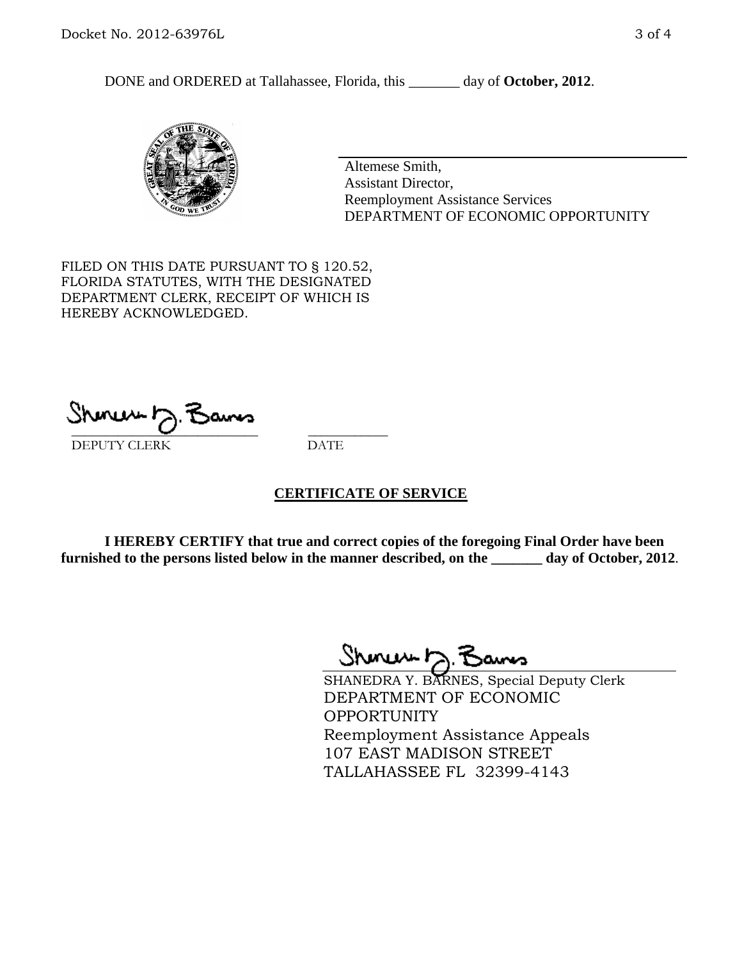DONE and ORDERED at Tallahassee, Florida, this day of October, 2012.



Altemese Smith, Assistant Director, Reemployment Assistance Services DEPARTMENT OF ECONOMIC OPPORTUNITY

FILED ON THIS DATE PURSUANT TO § 120.52, FLORIDA STATUTES, WITH THE DESIGNATED DEPARTMENT CLERK, RECEIPT OF WHICH IS HEREBY ACKNOWLEDGED.

 $\overline{\phantom{a}}$  ,  $\overline{\phantom{a}}$  ,  $\overline{\phantom{a}}$  ,  $\overline{\phantom{a}}$  ,  $\overline{\phantom{a}}$  ,  $\overline{\phantom{a}}$  ,  $\overline{\phantom{a}}$  ,  $\overline{\phantom{a}}$ DEPUTY CLERK DATE

## **CERTIFICATE OF SERVICE**

**I HEREBY CERTIFY that true and correct copies of the foregoing Final Order have been furnished to the persons listed below in the manner described, on the \_\_\_\_\_\_\_ day of October, 2012**.

Shinew D.F

SHANEDRA Y. BARNES, Special Deputy Clerk DEPARTMENT OF ECONOMIC **OPPORTUNITY** Reemployment Assistance Appeals 107 EAST MADISON STREET TALLAHASSEE FL 32399-4143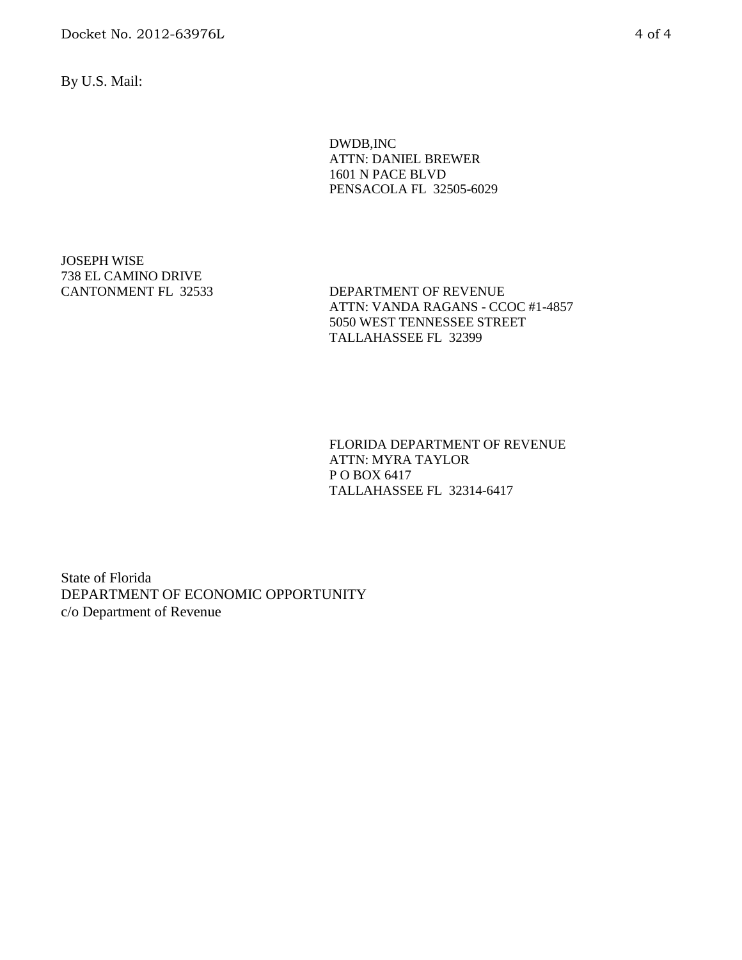Docket No. 2012-63976L 4 of 4

By U.S. Mail:

DWDB,INC ATTN: DANIEL BREWER 1601 N PACE BLVD PENSACOLA FL 32505-6029

JOSEPH WISE 738 EL CAMINO DRIVE

CANTONMENT FL 32533 DEPARTMENT OF REVENUE ATTN: VANDA RAGANS - CCOC #1-4857 5050 WEST TENNESSEE STREET TALLAHASSEE FL 32399

> FLORIDA DEPARTMENT OF REVENUE ATTN: MYRA TAYLOR P O BOX 6417 TALLAHASSEE FL 32314-6417

State of Florida DEPARTMENT OF ECONOMIC OPPORTUNITY c/o Department of Revenue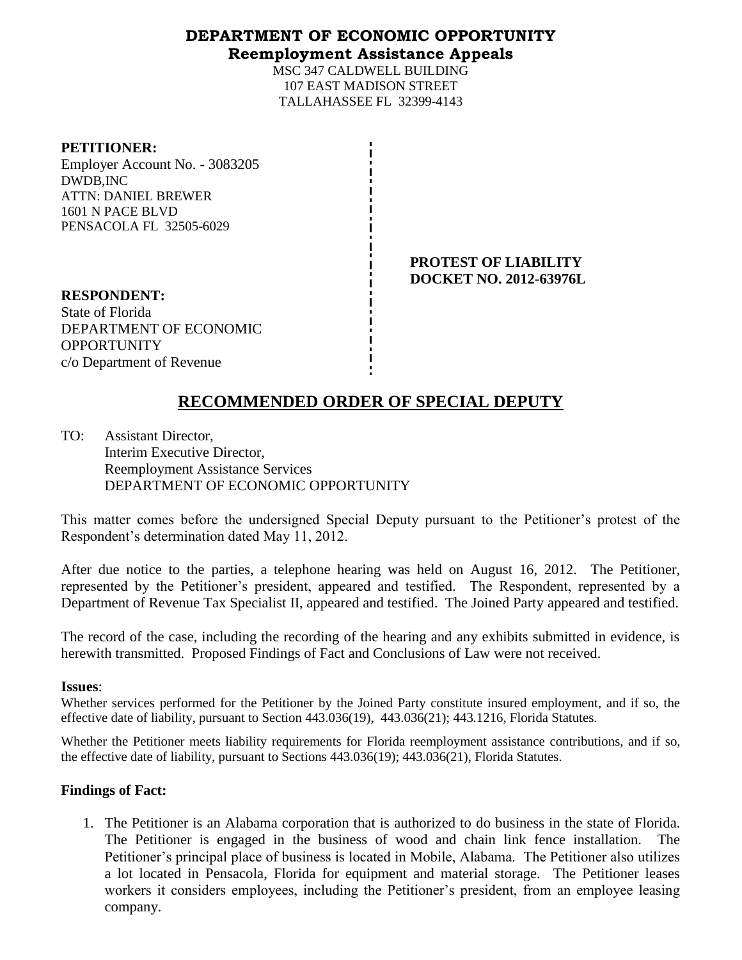## **DEPARTMENT OF ECONOMIC OPPORTUNITY Reemployment Assistance Appeals**

MSC 347 CALDWELL BUILDING 107 EAST MADISON STREET TALLAHASSEE FL 32399-4143

### **PETITIONER:**

Employer Account No. - 3083205 DWDB,INC ATTN: DANIEL BREWER 1601 N PACE BLVD PENSACOLA FL 32505-6029

> **PROTEST OF LIABILITY DOCKET NO. 2012-63976L**

**RESPONDENT:** State of Florida DEPARTMENT OF ECONOMIC **OPPORTUNITY** c/o Department of Revenue

# **RECOMMENDED ORDER OF SPECIAL DEPUTY**

TO: Assistant Director, Interim Executive Director, Reemployment Assistance Services DEPARTMENT OF ECONOMIC OPPORTUNITY

This matter comes before the undersigned Special Deputy pursuant to the Petitioner's protest of the Respondent's determination dated May 11, 2012.

After due notice to the parties, a telephone hearing was held on August 16, 2012. The Petitioner, represented by the Petitioner's president, appeared and testified. The Respondent, represented by a Department of Revenue Tax Specialist II, appeared and testified. The Joined Party appeared and testified.

The record of the case, including the recording of the hearing and any exhibits submitted in evidence, is herewith transmitted. Proposed Findings of Fact and Conclusions of Law were not received.

## **Issues**:

Whether services performed for the Petitioner by the Joined Party constitute insured employment, and if so, the effective date of liability, pursuant to Section 443.036(19), 443.036(21); 443.1216, Florida Statutes.

Whether the Petitioner meets liability requirements for Florida reemployment assistance contributions, and if so, the effective date of liability, pursuant to Sections 443.036(19); 443.036(21), Florida Statutes.

# **Findings of Fact:**

1. The Petitioner is an Alabama corporation that is authorized to do business in the state of Florida. The Petitioner is engaged in the business of wood and chain link fence installation. The Petitioner's principal place of business is located in Mobile, Alabama. The Petitioner also utilizes a lot located in Pensacola, Florida for equipment and material storage. The Petitioner leases workers it considers employees, including the Petitioner's president, from an employee leasing company.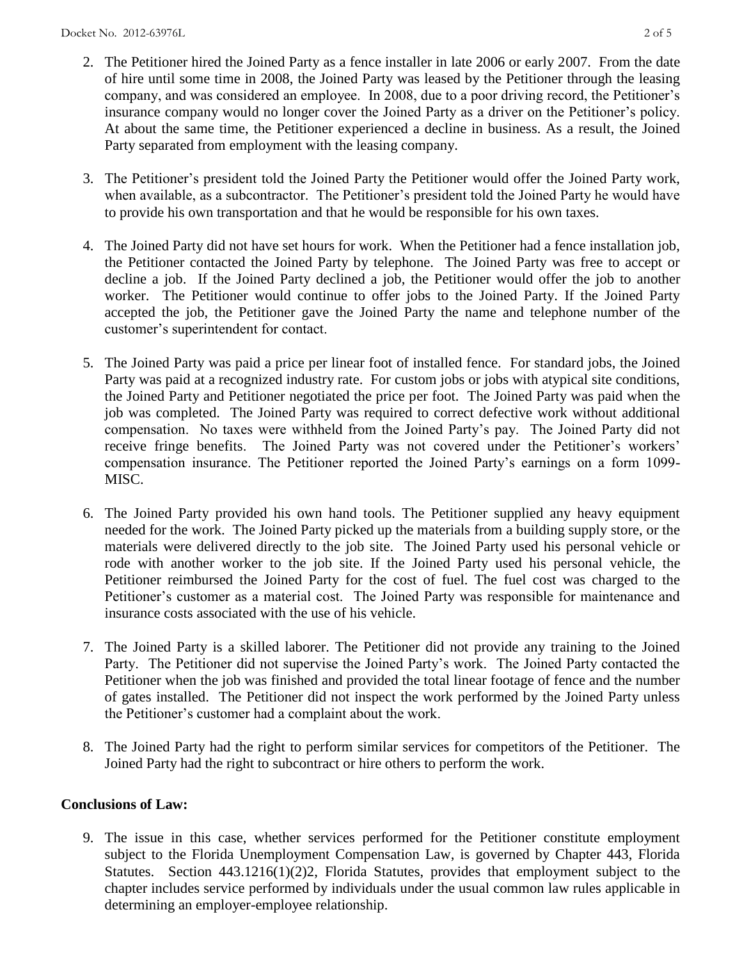- 2. The Petitioner hired the Joined Party as a fence installer in late 2006 or early 2007. From the date of hire until some time in 2008, the Joined Party was leased by the Petitioner through the leasing company, and was considered an employee. In 2008, due to a poor driving record, the Petitioner's insurance company would no longer cover the Joined Party as a driver on the Petitioner's policy. At about the same time, the Petitioner experienced a decline in business. As a result, the Joined Party separated from employment with the leasing company.
- 3. The Petitioner's president told the Joined Party the Petitioner would offer the Joined Party work, when available, as a subcontractor. The Petitioner's president told the Joined Party he would have to provide his own transportation and that he would be responsible for his own taxes.
- 4. The Joined Party did not have set hours for work. When the Petitioner had a fence installation job, the Petitioner contacted the Joined Party by telephone. The Joined Party was free to accept or decline a job. If the Joined Party declined a job, the Petitioner would offer the job to another worker. The Petitioner would continue to offer jobs to the Joined Party. If the Joined Party accepted the job, the Petitioner gave the Joined Party the name and telephone number of the customer's superintendent for contact.
- 5. The Joined Party was paid a price per linear foot of installed fence. For standard jobs, the Joined Party was paid at a recognized industry rate. For custom jobs or jobs with atypical site conditions, the Joined Party and Petitioner negotiated the price per foot. The Joined Party was paid when the job was completed. The Joined Party was required to correct defective work without additional compensation. No taxes were withheld from the Joined Party's pay. The Joined Party did not receive fringe benefits. The Joined Party was not covered under the Petitioner's workers' compensation insurance. The Petitioner reported the Joined Party's earnings on a form 1099- MISC.
- 6. The Joined Party provided his own hand tools. The Petitioner supplied any heavy equipment needed for the work. The Joined Party picked up the materials from a building supply store, or the materials were delivered directly to the job site. The Joined Party used his personal vehicle or rode with another worker to the job site. If the Joined Party used his personal vehicle, the Petitioner reimbursed the Joined Party for the cost of fuel. The fuel cost was charged to the Petitioner's customer as a material cost. The Joined Party was responsible for maintenance and insurance costs associated with the use of his vehicle.
- 7. The Joined Party is a skilled laborer. The Petitioner did not provide any training to the Joined Party. The Petitioner did not supervise the Joined Party's work. The Joined Party contacted the Petitioner when the job was finished and provided the total linear footage of fence and the number of gates installed. The Petitioner did not inspect the work performed by the Joined Party unless the Petitioner's customer had a complaint about the work.
- 8. The Joined Party had the right to perform similar services for competitors of the Petitioner. The Joined Party had the right to subcontract or hire others to perform the work.

# **Conclusions of Law:**

9. The issue in this case, whether services performed for the Petitioner constitute employment subject to the Florida Unemployment Compensation Law, is governed by Chapter 443, Florida Statutes. Section 443.1216(1)(2)2, Florida Statutes, provides that employment subject to the chapter includes service performed by individuals under the usual common law rules applicable in determining an employer-employee relationship.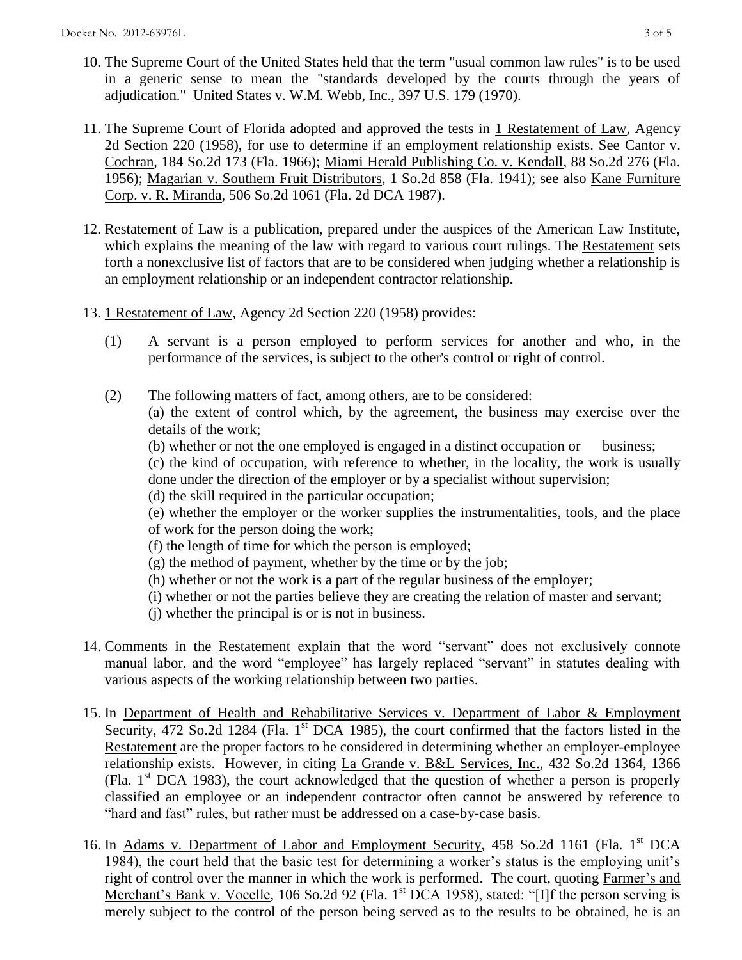- 10. The Supreme Court of the United States held that the term "usual common law rules" is to be used in a generic sense to mean the "standards developed by the courts through the years of adjudication." United States v. W.M. Webb, Inc., 397 U.S. 179 (1970).
- 11. The Supreme Court of Florida adopted and approved the tests in 1 Restatement of Law, Agency 2d Section 220 (1958), for use to determine if an employment relationship exists. See Cantor v. Cochran, 184 So.2d 173 (Fla. 1966); Miami Herald Publishing Co. v. Kendall, 88 So.2d 276 (Fla. 1956); Magarian v. Southern Fruit Distributors, 1 So.2d 858 (Fla. 1941); see also Kane Furniture Corp. v. R. Miranda, 506 So.2d 1061 (Fla. 2d DCA 1987).
- 12. Restatement of Law is a publication, prepared under the auspices of the American Law Institute, which explains the meaning of the law with regard to various court rulings. The Restatement sets forth a nonexclusive list of factors that are to be considered when judging whether a relationship is an employment relationship or an independent contractor relationship.
- 13. 1 Restatement of Law, Agency 2d Section 220 (1958) provides:
	- (1) A servant is a person employed to perform services for another and who, in the performance of the services, is subject to the other's control or right of control.
	- (2) The following matters of fact, among others, are to be considered: (a) the extent of control which, by the agreement, the business may exercise over the details of the work;

(b) whether or not the one employed is engaged in a distinct occupation or business; (c) the kind of occupation, with reference to whether, in the locality, the work is usually done under the direction of the employer or by a specialist without supervision; (d) the skill required in the particular occupation;

(e) whether the employer or the worker supplies the instrumentalities, tools, and the place of work for the person doing the work;

- (f) the length of time for which the person is employed;
- $(g)$  the method of payment, whether by the time or by the job;
- (h) whether or not the work is a part of the regular business of the employer;
- (i) whether or not the parties believe they are creating the relation of master and servant;
- (j) whether the principal is or is not in business.
- 14. Comments in the Restatement explain that the word "servant" does not exclusively connote manual labor, and the word "employee" has largely replaced "servant" in statutes dealing with various aspects of the working relationship between two parties.
- 15. In Department of Health and Rehabilitative Services v. Department of Labor & Employment Security, 472 So.2d 1284 (Fla. 1<sup>st</sup> DCA 1985), the court confirmed that the factors listed in the Restatement are the proper factors to be considered in determining whether an employer-employee relationship exists. However, in citing La Grande v. B&L Services, Inc., 432 So.2d 1364, 1366 (Fla.  $1<sup>st</sup> DCA$  1983), the court acknowledged that the question of whether a person is properly classified an employee or an independent contractor often cannot be answered by reference to "hard and fast" rules, but rather must be addressed on a case-by-case basis.
- 16. In Adams v. Department of Labor and Employment Security, 458 So.2d 1161 (Fla. 1<sup>st</sup> DCA 1984), the court held that the basic test for determining a worker's status is the employing unit's right of control over the manner in which the work is performed. The court, quoting Farmer's and Merchant's Bank v. Vocelle, 106 So.2d 92 (Fla. 1<sup>st</sup> DCA 1958), stated: "[I]f the person serving is merely subject to the control of the person being served as to the results to be obtained, he is an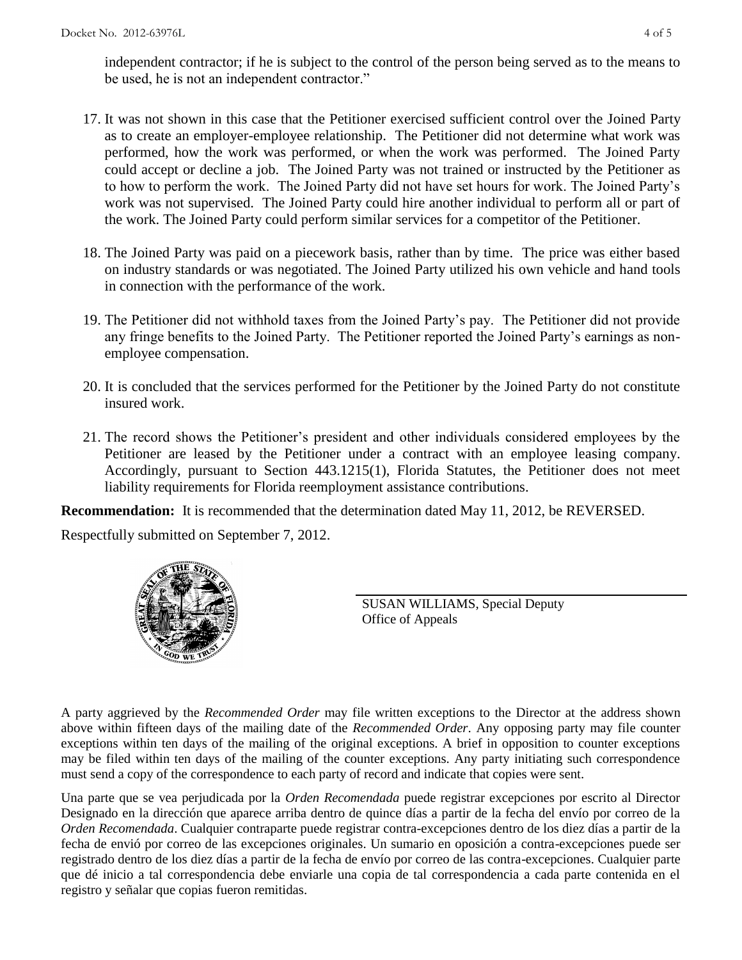independent contractor; if he is subject to the control of the person being served as to the means to be used, he is not an independent contractor."

- 17. It was not shown in this case that the Petitioner exercised sufficient control over the Joined Party as to create an employer-employee relationship. The Petitioner did not determine what work was performed, how the work was performed, or when the work was performed. The Joined Party could accept or decline a job. The Joined Party was not trained or instructed by the Petitioner as to how to perform the work. The Joined Party did not have set hours for work. The Joined Party's work was not supervised. The Joined Party could hire another individual to perform all or part of the work. The Joined Party could perform similar services for a competitor of the Petitioner.
- 18. The Joined Party was paid on a piecework basis, rather than by time. The price was either based on industry standards or was negotiated. The Joined Party utilized his own vehicle and hand tools in connection with the performance of the work.
- 19. The Petitioner did not withhold taxes from the Joined Party's pay. The Petitioner did not provide any fringe benefits to the Joined Party. The Petitioner reported the Joined Party's earnings as nonemployee compensation.
- 20. It is concluded that the services performed for the Petitioner by the Joined Party do not constitute insured work.
- 21. The record shows the Petitioner's president and other individuals considered employees by the Petitioner are leased by the Petitioner under a contract with an employee leasing company. Accordingly, pursuant to Section 443.1215(1), Florida Statutes, the Petitioner does not meet liability requirements for Florida reemployment assistance contributions.

**Recommendation:** It is recommended that the determination dated May 11, 2012, be REVERSED.

Respectfully submitted on September 7, 2012.



SUSAN WILLIAMS, Special Deputy Office of Appeals

A party aggrieved by the *Recommended Order* may file written exceptions to the Director at the address shown above within fifteen days of the mailing date of the *Recommended Order*. Any opposing party may file counter exceptions within ten days of the mailing of the original exceptions. A brief in opposition to counter exceptions may be filed within ten days of the mailing of the counter exceptions. Any party initiating such correspondence must send a copy of the correspondence to each party of record and indicate that copies were sent.

Una parte que se vea perjudicada por la *Orden Recomendada* puede registrar excepciones por escrito al Director Designado en la dirección que aparece arriba dentro de quince días a partir de la fecha del envío por correo de la *Orden Recomendada*. Cualquier contraparte puede registrar contra-excepciones dentro de los diez días a partir de la fecha de envió por correo de las excepciones originales. Un sumario en oposición a contra-excepciones puede ser registrado dentro de los diez días a partir de la fecha de envío por correo de las contra-excepciones. Cualquier parte que dé inicio a tal correspondencia debe enviarle una copia de tal correspondencia a cada parte contenida en el registro y señalar que copias fueron remitidas.